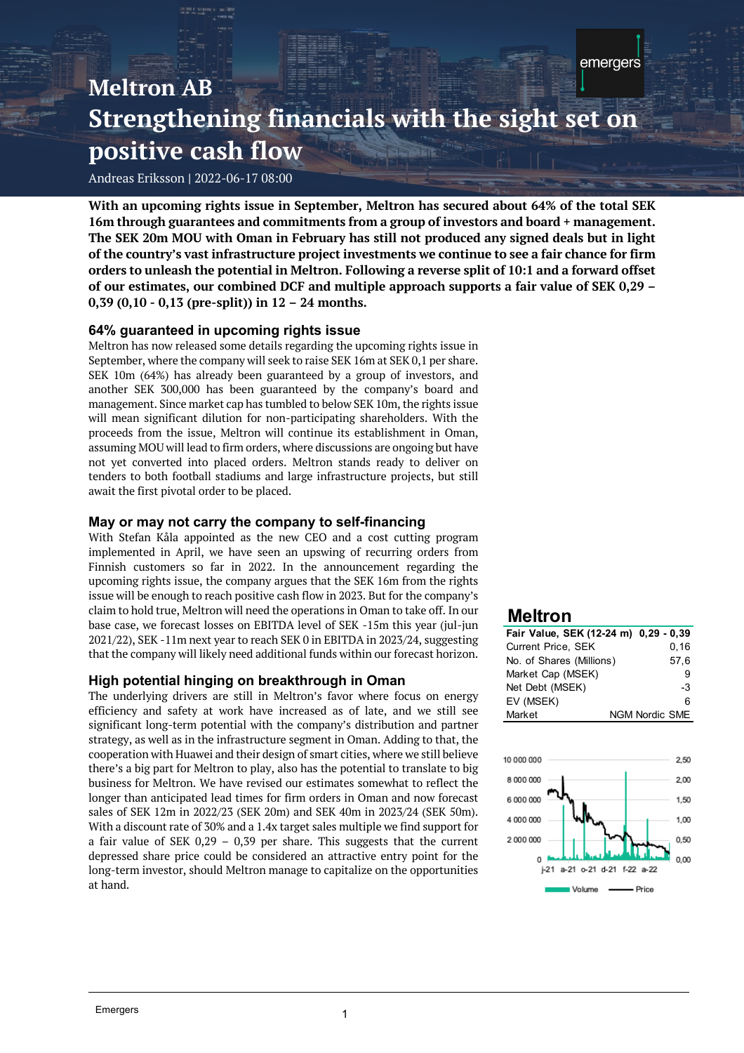Andreas Eriksson **|** 2022-06-17 08:00

**With an upcoming rights issue in September, Meltron has secured about 64% of the total SEK 16m through guarantees and commitments from a group of investors and board + management. The SEK 20m MOU with Oman in February has still not produced any signed deals but in light of the country's vast infrastructure project investments we continue to see a fair chance for firm orders to unleash the potential in Meltron. Following a reverse split of 10:1 and a forward offset of our estimates, our combined DCF and multiple approach supports a fair value of SEK 0,29 – 0,39 (0,10 - 0,13 (pre-split)) in 12 – 24 months.**

# **64% guaranteed in upcoming rights issue**

Meltron has now released some details regarding the upcoming rights issue in September, where the company will seek to raise SEK 16m at SEK 0,1 per share. SEK 10m (64%) has already been guaranteed by a group of investors, and another SEK 300,000 has been guaranteed by the company's board and management. Since market cap has tumbled to below SEK 10m, the rights issue will mean significant dilution for non-participating shareholders. With the proceeds from the issue, Meltron will continue its establishment in Oman, assuming MOU will lead to firm orders, where discussions are ongoing but have not yet converted into placed orders. Meltron stands ready to deliver on tenders to both football stadiums and large infrastructure projects, but still await the first pivotal order to be placed.

# **May or may not carry the company to self-financing**

With Stefan Kåla appointed as the new CEO and a cost cutting program implemented in April, we have seen an upswing of recurring orders from Finnish customers so far in 2022. In the announcement regarding the upcoming rights issue, the company argues that the SEK 16m from the rights issue will be enough to reach positive cash flow in 2023. But for the company's claim to hold true, Meltron will need the operations in Oman to take off. In our base case, we forecast losses on EBITDA level of SEK -15m this year (jul-jun 2021/22), SEK -11m next year to reach SEK 0 in EBITDA in 2023/24, suggesting that the company will likely need additional funds within our forecast horizon.

## **High potential hinging on breakthrough in Oman**

The underlying drivers are still in Meltron's favor where focus on energy efficiency and safety at work have increased as of late, and we still see significant long-term potential with the company's distribution and partner strategy, as well as in the infrastructure segment in Oman. Adding to that, the cooperation with Huawei and their design of smart cities, where we still believe there's a big part for Meltron to play, also has the potential to translate to big business for Meltron. We have revised our estimates somewhat to reflect the longer than anticipated lead times for firm orders in Oman and now forecast sales of SEK 12m in 2022/23 (SEK 20m) and SEK 40m in 2023/24 (SEK 50m). With a discount rate of 30% and a 1.4x target sales multiple we find support for a fair value of SEK 0,29 – 0,39 per share. This suggests that the current depressed share price could be considered an attractive entry point for the long-term investor, should Meltron manage to capitalize on the opportunities at hand.

# **Meltron**

| Fair Value, SEK (12-24 m) 0,29 - 0,39 |                       |
|---------------------------------------|-----------------------|
| <b>Current Price, SEK</b>             | 0, 16                 |
| No. of Shares (Millions)              | 57,6                  |
| Market Cap (MSEK)                     | я                     |
| Net Debt (MSEK)                       | -3                    |
| EV (MSEK)                             | հ                     |
| Market                                | <b>NGM Nordic SME</b> |

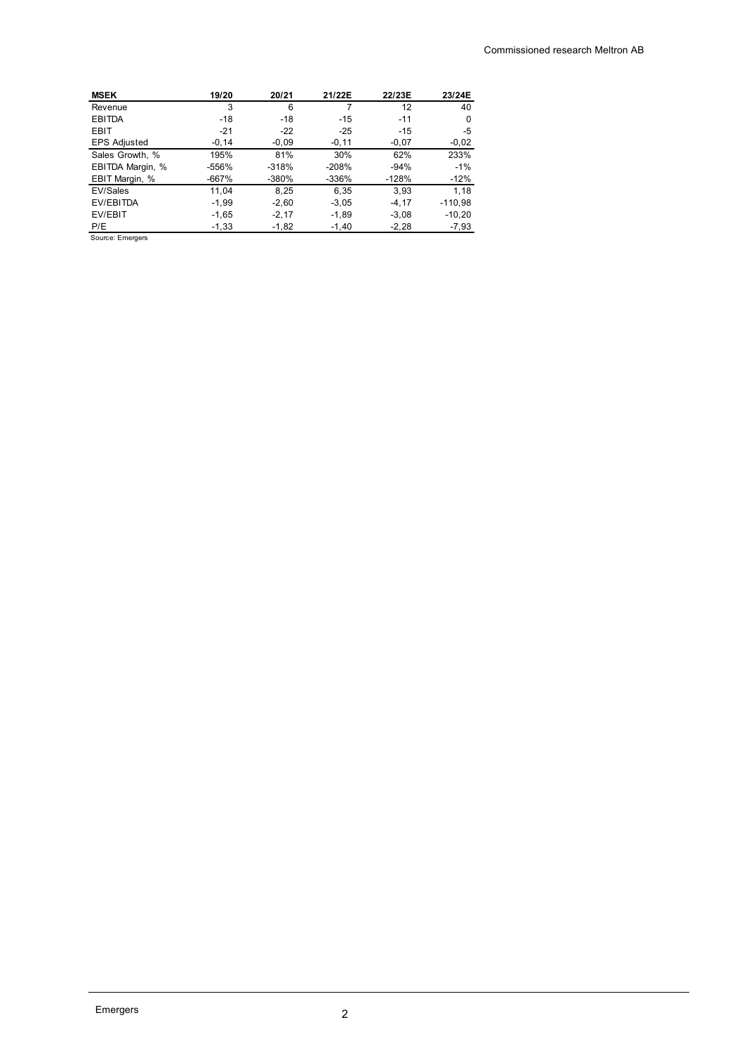| <b>MSEK</b>         | 19/20    | 20/21   | 21/22E   | 22/23E   | 23/24E    |
|---------------------|----------|---------|----------|----------|-----------|
| Revenue             | 3        | 6       | 7        | 12       | 40        |
| <b>EBITDA</b>       | $-18$    | $-18$   | $-15$    | $-11$    | 0         |
| EBIT                | $-21$    | $-22$   | $-25$    | $-15$    | $-5$      |
| <b>EPS Adjusted</b> | $-0, 14$ | $-0.09$ | $-0, 11$ | $-0,07$  | $-0,02$   |
| Sales Growth, %     | 195%     | 81%     | 30%      | 62%      | 233%      |
| EBITDA Margin, %    | -556%    | $-318%$ | -208%    | $-94%$   | $-1%$     |
| EBIT Margin, %      | $-667%$  | $-380%$ | -336%    | $-128%$  | $-12%$    |
| EV/Sales            | 11.04    | 8,25    | 6.35     | 3.93     | 1,18      |
| EV/EBITDA           | $-1,99$  | $-2,60$ | $-3,05$  | $-4, 17$ | $-110,98$ |
| EV/EBIT             | $-1,65$  | $-2,17$ | $-1,89$  | $-3,08$  | $-10,20$  |
| P/E                 | $-1,33$  | $-1,82$ | $-1,40$  | $-2,28$  | $-7,93$   |

Source: Emergers